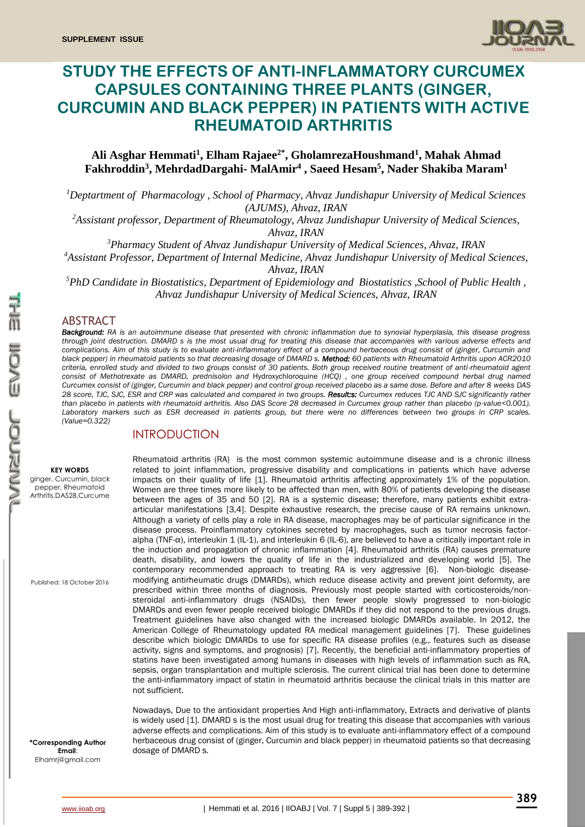

# **STUDY THE EFFECTS OF ANTI-INFLAMMATORY CURCUMEX CAPSULES CONTAINING THREE PLANTS (GINGER, CURCUMIN AND BLACK PEPPER) IN PATIENTS WITH ACTIVE RHEUMATOID ARTHRITIS**

## **Ali Asghar Hemmati<sup>1</sup> , Elham Rajaee2\* , GholamrezaHoushmand<sup>1</sup> , Mahak Ahmad Fakhroddin<sup>3</sup> , MehrdadDargahi- MalAmir<sup>4</sup> , Saeed Hesam<sup>5</sup> , Nader Shakiba Maram<sup>1</sup>**

*<sup>1</sup>Deptartment of Pharmacology , School of Pharmacy, Ahvaz Jundishapur University of Medical Sciences (AJUMS), Ahvaz, IRAN*

*<sup>2</sup>Assistant professor, Department of Rheumatology, Ahvaz Jundishapur University of Medical Sciences,* 

*Ahvaz, IRAN*

*<sup>3</sup>Pharmacy Student of Ahvaz Jundishapur University of Medical Sciences, Ahvaz, IRAN*

*<sup>4</sup>Assistant Professor, Department of Internal Medicine, Ahvaz Jundishapur University of Medical Sciences,* 

*Ahvaz, IRAN*

*<sup>5</sup>PhD Candidate in Biostatistics, Department of Epidemiology and Biostatistics ,School of Public Health , Ahvaz Jundishapur University of Medical Sciences, Ahvaz, IRAN*

#### ABSTRACT

*Background: RA is an autoimmune disease that presented with chronic inflammation due to synovial hyperplasia, this disease progress through joint destruction. DMARD s is the most usual drug for treating this disease that accompanies with various adverse effects and complications. Aim of this study is to evaluate anti-inflammatory effect of a compound herbaceous drug consist of (ginger, Curcumin and black pepper) in rheumatoid patients so that decreasing dosage of DMARD s. Method: 60 patients with Rheumatoid Arthritis upon ACR2010 criteria, enrolled study and divided to two groups consist of 30 patients. Both group received routine treatment of anti-rheumatoid agent consist of [Methotrexate](https://www.google.com/url?sa=t&rct=j&q=&esrc=s&source=web&cd=1&cad=rja&uact=8&ved=0ahUKEwjvh5a6y8bPAhVFPxQKHR78CEQQFggbMAA&url=https%3A%2F%2Fwww.drugs.com%2Fmethotrexate.html&usg=AFQjCNHfnXxR2QECsVe3VEDu7jOGbaZg-Q&bvm=bv.134495766,d.d2s) as DMARD, prednisolon and* Hydroxychloroquine *(HCQ) , one group received compound herbal drug named Curcumex consist of (ginger, Curcumin and black pepper) and control group received placebo as a same dose. Before and after 8 weeks DAS 28 score, TJC, SJC, ESR and CRP was calculated and compared in two groups. Result:s: Curcumex reduces TJC AND SJC significantly rather than placebo in patients with rheumatoid arthritis. Also DAS Score 28 decreased in Curcumex group rather than placebo (p-value<0.001).*  Laboratory markers such as ESR decreased in patients group, but there were no differences between two groups in CRP scales. *(Value=0.322)*

#### INTRODUCTION

#### **KEY WORDS**

ginger, Curcumin, black pepper, Rheumatoid Arthritis,DAS28,Curcume

Published: 18 October 2016

**\*Corresponding Author Email**: Elhamrj@gmail.com

Rheumatoid arthritis (RA) is the most common systemic autoimmune disease and is a chronic illness related to joint inflammation, progressive disability and complications in patients which have adverse impacts on their quality of life [1]. Rheumatoid arthritis affecting approximately 1% of the population. Women are three times more likely to be affected than men, with 80% of patients developing the disease between the ages of 35 and 50 [2]. RA is a systemic disease; therefore, many patients exhibit extraarticular manifestations [3,4]. Despite exhaustive research, the precise cause of RA remains unknown. Although a variety of cells play a role in RA disease, macrophages may be of particular significance in the disease process. Proinflammatory cytokines secreted by macrophages, such as tumor necrosis factoralpha (TNF-*α*), interleukin 1 (IL-1), and interleukin 6 (IL-6), are believed to have a critically important role in the induction and propagation of chronic inflammation [4]. Rheumatoid arthritis (RA) causes premature death, disability, and lowers the quality of life in the industrialized and developing world [5]. The contemporary recommended approach to treating RA is very aggressive [6]. Non-biologic diseasemodifying antirheumatic drugs (DMARDs), which reduce disease activity and prevent joint deformity, are prescribed within three months of diagnosis. Previously most people started with corticosteroids/nonsteroidal anti-inflammatory drugs (NSAIDs), then fewer people slowly progressed to non-biologic DMARDs and even fewer people received biologic DMARDs if they did not respond to the previous drugs. Treatment guidelines have also changed with the increased biologic DMARDs available. In 2012, the American College of Rheumatology updated RA medical management guidelines [7]. These guidelines describe which biologic DMARDs to use for specific RA disease profiles (e.g., features such as disease activity, signs and symptoms, and prognosis) [7]. Recently, the beneficial anti-inflammatory properties of statins have been investigated among humans in diseases with high levels of inflammation such as RA, sepsis, organ transplantation and multiple sclerosis. The current clinical trial has been done to determine the anti-inflammatory impact of statin in rheumatoid arthritis because the clinical trials in this matter are not sufficient.

Nowadays, Due to the antioxidant properties And High anti-inflammatory, Extracts and derivative of plants is widely used [1]. DMARD s is the most usual drug for treating this disease that accompanies with various adverse effects and complications. Aim of this study is to evaluate anti-inflammatory effect of a compound herbaceous drug consist of (ginger, Curcumin and black pepper) in rheumatoid patients so that decreasing dosage of DMARD s.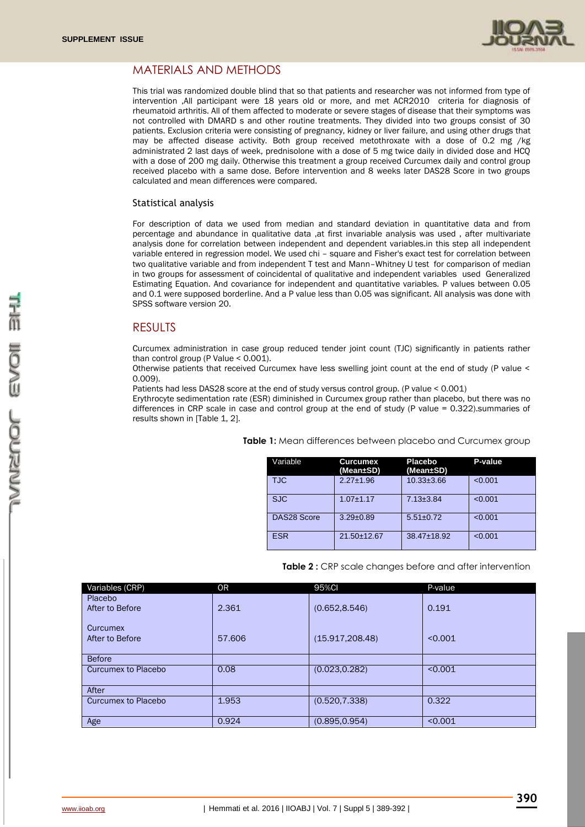

# MATERIALS AND METHODS

This trial was randomized double blind that so that patients and researcher was not informed from type of intervention ,All participant were 18 years old or more, and met ACR2010 criteria for diagnosis of rheumatoid arthritis. All of them affected to moderate or severe stages of disease that their symptoms was not controlled with DMARD s and other routine treatments. They divided into two groups consist of 30 patients. Exclusion criteria were consisting of pregnancy, kidney or liver failure, and using other drugs that may be affected disease activity. Both group received metothroxate with a dose of 0.2 mg /kg administrated 2 last days of week, prednisolone with a dose of 5 mg twice daily in divided dose and HCQ with a dose of 200 mg daily. Otherwise this treatment a group received Curcumex daily and control group received placebo with a same dose. Before intervention and 8 weeks later DAS28 Score in two groups calculated and mean differences were compared.

#### Statistical analysis

For description of data we used from median and standard deviation in quantitative data and from percentage and abundance in qualitative data ,at first invariable analysis was used , after multivariate analysis done for correlation between independent and dependent variables.in this step all independent variable entered in regression model. We used chi – square and Fisher's exact test for correlation between two qualitative variable and from independent T test and Mann–Whitney U test for comparison of median in two groups for assessment of coincidental of qualitative and independent variables used Generalized Estimating Equation. And covariance for independent and quantitative variables. P values between 0.05 and 0.1 were supposed borderline. And a P value less than 0.05 was significant. All analysis was done with SPSS software version 20.

### RESULTS

Curcumex administration in case group reduced tender joint count (TJC) significantly in patients rather than control group (P Value  $< 0.001$ ).

Otherwise patients that received Curcumex have less swelling joint count at the end of study (P value < 0.009).

Patients had less DAS28 score at the end of study versus control group. (P value < 0.001)

Erythrocyte sedimentation rate (ESR) diminished in Curcumex group rather than placebo, but there was no differences in CRP scale in case and control group at the end of study (P value = 0.322).summaries of results shown in [Table 1, 2].

| Variable           | <b>Curcumex</b><br>(Mean±SD) | Placebo<br>(Mean±SD) | P-value |
|--------------------|------------------------------|----------------------|---------|
| TJC                | $2.27 \pm 1.96$              | $10.33 \pm 3.66$     | < 0.001 |
| <b>SJC</b>         | $1.07 + 1.17$                | $7.13 \pm 3.84$      | < 0.001 |
| <b>DAS28 Score</b> | $3.29 \pm 0.89$              | $5.51 \pm 0.72$      | < 0.001 |
| <b>ESR</b>         | 21.50±12.67                  | 38.47±18.92          | < 0.001 |

**Table 1:** Mean differences between placebo and Curcumex group

| Table 2: CRP scale changes before and after intervention |  |
|----------------------------------------------------------|--|
|----------------------------------------------------------|--|

| Variables (CRP)     | 0 <sub>R</sub> | 95%Cl            | P-value |
|---------------------|----------------|------------------|---------|
| Placebo             |                |                  |         |
| After to Before     | 2.361          | (0.652, 8.546)   | 0.191   |
| <b>Curcumex</b>     |                |                  |         |
| After to Before     | 57,606         | (15.917, 208.48) | < 0.001 |
|                     |                |                  |         |
| <b>Before</b>       |                |                  |         |
| Curcumex to Placebo | 0.08           | (0.023, 0.282)   | < 0.001 |
| After               |                |                  |         |
| Curcumex to Placebo | 1.953          | (0.520, 7.338)   | 0.322   |
| Age                 | 0.924          | (0.895.0.954)    | < 0.001 |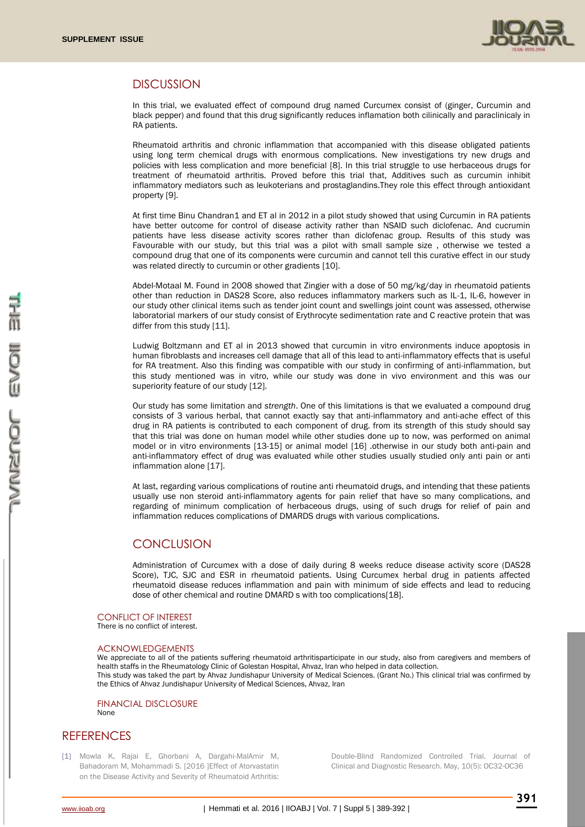

#### **DISCUSSION**

In this trial, we evaluated effect of compound drug named Curcumex consist of (ginger, Curcumin and black pepper) and found that this drug significantly reduces inflamation both cilinically and paraclinicaly in RA patients.

Rheumatoid arthritis and chronic inflammation that accompanied with this disease obligated patients using long term chemical drugs with enormous complications. New investigations try new drugs and policies with less complication and more beneficial [8]. In this trial struggle to use herbaceous drugs for treatment of rheumatoid arthritis. Proved before this trial that, Additives such as curcumin inhibit inflammatory mediators such as leukoterians and prostaglandins.They role this effect through antioxidant property [9].

At first time Binu Chandran1 and ET al in 2012 in a pilot study showed that using Curcumin in RA patients have better outcome for control of disease activity rather than NSAID such diclofenac. And cucrumin patients have less disease activity scores rather than diclofenac group. Results of this study was Favourable with our study, but this trial was a pilot with small sample size , otherwise we tested a compound drug that one of its components were curcumin and cannot tell this curative effect in our study was related directly to curcumin or other gradients [10].

Abdel-Motaal M. Found in 2008 showed that Zingier with a dose of 50 mg/kg/day in rheumatoid patients other than reduction in DAS28 Score, also reduces inflammatory markers such as IL-1, IL-6, however in our study other clinical items such as tender joint count and swellings joint count was assessed, otherwise laboratorial markers of our study consist of Erythrocyte sedimentation rate and C reactive protein that was differ from this study [11].

Ludwig Boltzmann and ET al in 2013 showed that curcumin in vitro environments induce apoptosis in human fibroblasts and increases cell damage that all of this lead to anti-inflammatory effects that is useful for RA treatment. Also this finding was compatible with our study in confirming of anti-inflammation, but this study mentioned was in vitro, while our study was done in vivo environment and this was our superiority feature of our study [12].

Our study has some limitation and *strength*. One of this limitations is that we evaluated a compound drug consists of 3 various herbal, that cannot exactly say that anti-inflammatory and anti-ache effect of this drug in RA patients is contributed to each component of drug. from its strength of this study should say that this trial was done on human model while other studies done up to now, was performed on animal model or in vitro environments [13-15] or animal model [16] .otherwise in our study both anti-pain and anti-inflammatory effect of drug was evaluated while other studies usually studied only anti pain or anti inflammation alone [17].

At last, regarding various complications of routine anti rheumatoid drugs, and intending that these patients usually use non steroid anti-inflammatory agents for pain relief that have so many complications, and regarding of minimum complication of herbaceous drugs, using of such drugs for relief of pain and inflammation reduces complications of DMARDS drugs with various complications.

### **CONCLUSION**

Administration of Curcumex with a dose of daily during 8 weeks reduce disease activity score (DAS28 Score), TJC, SJC and ESR in rheumatoid patients. Using Curcumex herbal drug in patients affected rheumatoid disease reduces inflammation and pain with minimum of side effects and lead to reducing dose of other chemical and routine DMARD s with too complications[18].

#### CONFLICT OF INTEREST

There is no conflict of interest.

#### ACKNOWLEDGEMENTS

We appreciate to all of the patients suffering rheumatoid arthritisparticipate in our study, also from caregivers and members of health staffs in the Rheumatology Clinic of Golestan Hospital, Ahvaz, Iran who helped in data collection. This study was taked the part by Ahvaz Jundishapur University of Medical Sciences. (Grant No.) This clinical trial was confirmed by the Ethics of Ahvaz Jundishapur University of Medical Sciences, Ahvaz, Iran

FINANCIAL DISCLOSURE None

### **REFERENCES**

[1] Mowla K, Rajai E, Ghorbani A, Dargahi-MalAmir M, Bahadoram M, Mohammadi S. [2016 ]Effect of Atorvastatin on the Disease Activity and Severity of Rheumatoid Arthritis: Double-Blind Randomized Controlled Trial. Journal of Clinical and Diagnostic Research. May, 10(5): OC32-OC36